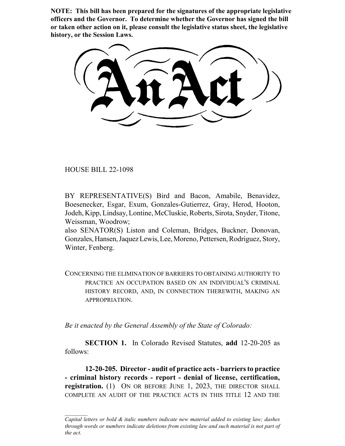**NOTE: This bill has been prepared for the signatures of the appropriate legislative officers and the Governor. To determine whether the Governor has signed the bill or taken other action on it, please consult the legislative status sheet, the legislative history, or the Session Laws.**

HOUSE BILL 22-1098

BY REPRESENTATIVE(S) Bird and Bacon, Amabile, Benavidez, Boesenecker, Esgar, Exum, Gonzales-Gutierrez, Gray, Herod, Hooton, Jodeh, Kipp, Lindsay, Lontine, McCluskie, Roberts, Sirota, Snyder, Titone, Weissman, Woodrow;

also SENATOR(S) Liston and Coleman, Bridges, Buckner, Donovan, Gonzales, Hansen, Jaquez Lewis, Lee, Moreno, Pettersen, Rodriguez, Story, Winter, Fenberg.

CONCERNING THE ELIMINATION OF BARRIERS TO OBTAINING AUTHORITY TO PRACTICE AN OCCUPATION BASED ON AN INDIVIDUAL'S CRIMINAL HISTORY RECORD, AND, IN CONNECTION THEREWITH, MAKING AN APPROPRIATION.

*Be it enacted by the General Assembly of the State of Colorado:*

**SECTION 1.** In Colorado Revised Statutes, **add** 12-20-205 as follows:

**12-20-205. Director - audit of practice acts - barriers to practice - criminal history records - report - denial of license, certification, registration.** (1) ON OR BEFORE JUNE 1, 2023, THE DIRECTOR SHALL COMPLETE AN AUDIT OF THE PRACTICE ACTS IN THIS TITLE 12 AND THE

*Capital letters or bold & italic numbers indicate new material added to existing law; dashes through words or numbers indicate deletions from existing law and such material is not part of the act.*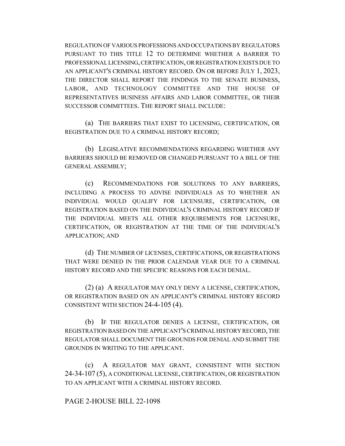REGULATION OF VARIOUS PROFESSIONS AND OCCUPATIONS BY REGULATORS PURSUANT TO THIS TITLE 12 TO DETERMINE WHETHER A BARRIER TO PROFESSIONAL LICENSING, CERTIFICATION, OR REGISTRATION EXISTS DUE TO AN APPLICANT'S CRIMINAL HISTORY RECORD. ON OR BEFORE JULY 1, 2023, THE DIRECTOR SHALL REPORT THE FINDINGS TO THE SENATE BUSINESS, LABOR, AND TECHNOLOGY COMMITTEE AND THE HOUSE OF REPRESENTATIVES BUSINESS AFFAIRS AND LABOR COMMITTEE, OR THEIR SUCCESSOR COMMITTEES. THE REPORT SHALL INCLUDE:

(a) THE BARRIERS THAT EXIST TO LICENSING, CERTIFICATION, OR REGISTRATION DUE TO A CRIMINAL HISTORY RECORD;

(b) LEGISLATIVE RECOMMENDATIONS REGARDING WHETHER ANY BARRIERS SHOULD BE REMOVED OR CHANGED PURSUANT TO A BILL OF THE GENERAL ASSEMBLY;

(c) RECOMMENDATIONS FOR SOLUTIONS TO ANY BARRIERS, INCLUDING A PROCESS TO ADVISE INDIVIDUALS AS TO WHETHER AN INDIVIDUAL WOULD QUALIFY FOR LICENSURE, CERTIFICATION, OR REGISTRATION BASED ON THE INDIVIDUAL'S CRIMINAL HISTORY RECORD IF THE INDIVIDUAL MEETS ALL OTHER REQUIREMENTS FOR LICENSURE, CERTIFICATION, OR REGISTRATION AT THE TIME OF THE INDIVIDUAL'S APPLICATION; AND

(d) THE NUMBER OF LICENSES, CERTIFICATIONS, OR REGISTRATIONS THAT WERE DENIED IN THE PRIOR CALENDAR YEAR DUE TO A CRIMINAL HISTORY RECORD AND THE SPECIFIC REASONS FOR EACH DENIAL.

(2) (a) A REGULATOR MAY ONLY DENY A LICENSE, CERTIFICATION, OR REGISTRATION BASED ON AN APPLICANT'S CRIMINAL HISTORY RECORD CONSISTENT WITH SECTION 24-4-105 (4).

(b) IF THE REGULATOR DENIES A LICENSE, CERTIFICATION, OR REGISTRATION BASED ON THE APPLICANT'S CRIMINAL HISTORY RECORD, THE REGULATOR SHALL DOCUMENT THE GROUNDS FOR DENIAL AND SUBMIT THE GROUNDS IN WRITING TO THE APPLICANT.

(c) A REGULATOR MAY GRANT, CONSISTENT WITH SECTION 24-34-107 (5), A CONDITIONAL LICENSE, CERTIFICATION, OR REGISTRATION TO AN APPLICANT WITH A CRIMINAL HISTORY RECORD.

## PAGE 2-HOUSE BILL 22-1098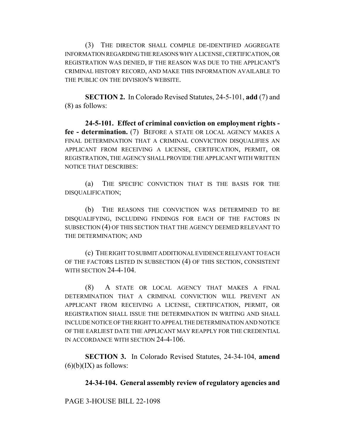(3) THE DIRECTOR SHALL COMPILE DE-IDENTIFIED AGGREGATE INFORMATION REGARDING THE REASONS WHY A LICENSE, CERTIFICATION, OR REGISTRATION WAS DENIED, IF THE REASON WAS DUE TO THE APPLICANT'S CRIMINAL HISTORY RECORD, AND MAKE THIS INFORMATION AVAILABLE TO THE PUBLIC ON THE DIVISION'S WEBSITE.

**SECTION 2.** In Colorado Revised Statutes, 24-5-101, **add** (7) and (8) as follows:

**24-5-101. Effect of criminal conviction on employment rights fee - determination.** (7) BEFORE A STATE OR LOCAL AGENCY MAKES A FINAL DETERMINATION THAT A CRIMINAL CONVICTION DISQUALIFIES AN APPLICANT FROM RECEIVING A LICENSE, CERTIFICATION, PERMIT, OR REGISTRATION, THE AGENCY SHALL PROVIDE THE APPLICANT WITH WRITTEN NOTICE THAT DESCRIBES:

(a) THE SPECIFIC CONVICTION THAT IS THE BASIS FOR THE DISQUALIFICATION;

(b) THE REASONS THE CONVICTION WAS DETERMINED TO BE DISQUALIFYING, INCLUDING FINDINGS FOR EACH OF THE FACTORS IN SUBSECTION (4) OF THIS SECTION THAT THE AGENCY DEEMED RELEVANT TO THE DETERMINATION; AND

(c) THE RIGHT TO SUBMIT ADDITIONAL EVIDENCE RELEVANT TO EACH OF THE FACTORS LISTED IN SUBSECTION (4) OF THIS SECTION, CONSISTENT WITH SECTION 24-4-104.

(8) A STATE OR LOCAL AGENCY THAT MAKES A FINAL DETERMINATION THAT A CRIMINAL CONVICTION WILL PREVENT AN APPLICANT FROM RECEIVING A LICENSE, CERTIFICATION, PERMIT, OR REGISTRATION SHALL ISSUE THE DETERMINATION IN WRITING AND SHALL INCLUDE NOTICE OF THE RIGHT TO APPEAL THE DETERMINATION AND NOTICE OF THE EARLIEST DATE THE APPLICANT MAY REAPPLY FOR THE CREDENTIAL IN ACCORDANCE WITH SECTION 24-4-106.

**SECTION 3.** In Colorado Revised Statutes, 24-34-104, **amend**  $(6)(b)(IX)$  as follows:

**24-34-104. General assembly review of regulatory agencies and**

PAGE 3-HOUSE BILL 22-1098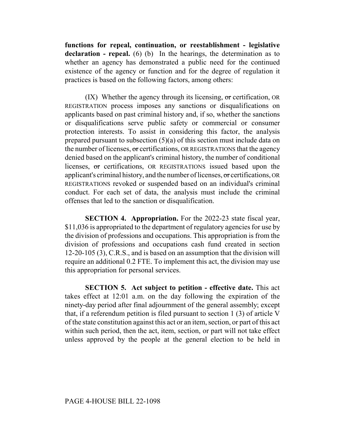**functions for repeal, continuation, or reestablishment - legislative declaration - repeal.** (6) (b) In the hearings, the determination as to whether an agency has demonstrated a public need for the continued existence of the agency or function and for the degree of regulation it practices is based on the following factors, among others:

 $(IX)$  Whether the agency through its licensing, or certification, OR REGISTRATION process imposes any sanctions or disqualifications on applicants based on past criminal history and, if so, whether the sanctions or disqualifications serve public safety or commercial or consumer protection interests. To assist in considering this factor, the analysis prepared pursuant to subsection (5)(a) of this section must include data on the number of licenses,  $\sigma$  certifications, OR REGISTRATIONS that the agency denied based on the applicant's criminal history, the number of conditional licenses, or certifications, OR REGISTRATIONS issued based upon the applicant's criminal history, and the number of licenses, or certifications, OR REGISTRATIONS revoked or suspended based on an individual's criminal conduct. For each set of data, the analysis must include the criminal offenses that led to the sanction or disqualification.

**SECTION 4. Appropriation.** For the 2022-23 state fiscal year, \$11,036 is appropriated to the department of regulatory agencies for use by the division of professions and occupations. This appropriation is from the division of professions and occupations cash fund created in section 12-20-105 (3), C.R.S., and is based on an assumption that the division will require an additional 0.2 FTE. To implement this act, the division may use this appropriation for personal services.

**SECTION 5. Act subject to petition - effective date.** This act takes effect at 12:01 a.m. on the day following the expiration of the ninety-day period after final adjournment of the general assembly; except that, if a referendum petition is filed pursuant to section 1 (3) of article V of the state constitution against this act or an item, section, or part of this act within such period, then the act, item, section, or part will not take effect unless approved by the people at the general election to be held in